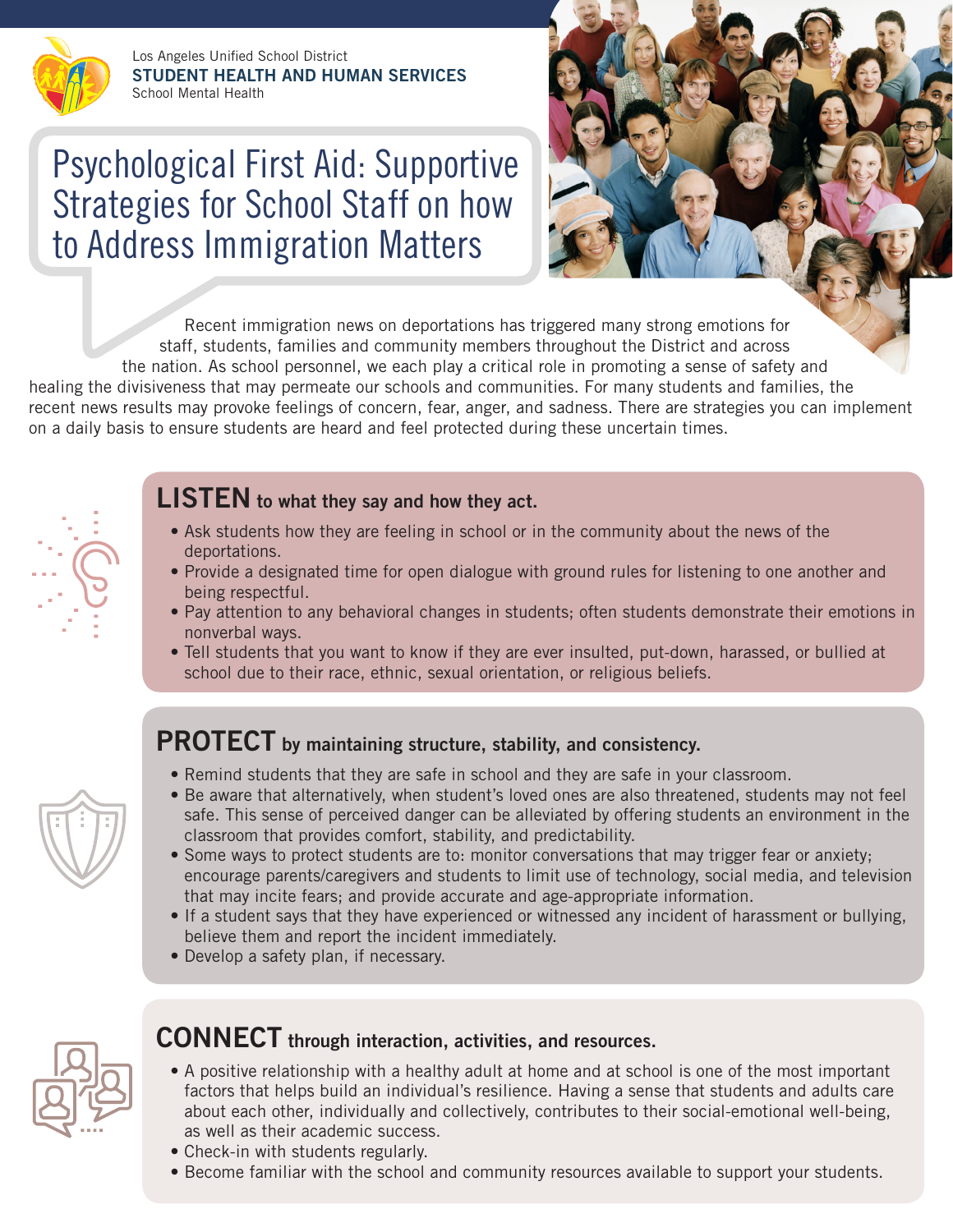

Los Angeles Unified School District **STUDENT HEALTH AND HUMAN SERVICES** School Mental Health

# Psychological First Aid: Supportive Strategies for School Staff on how to Address Immigration Matters



Recent immigration news on deportations has triggered many strong emotions for staff, students, families and community members throughout the District and across the nation. As school personnel, we each play a critical role in promoting a sense of safety and healing the divisiveness that may permeate our schools and communities. For many students and families, the recent news results may provoke feelings of concern, fear, anger, and sadness. There are strategies you can implement on a daily basis to ensure students are heard and feel protected during these uncertain times.



## **LISTEN to what they say and how they act.**

- Ask students how they are feeling in school or in the community about the news of the deportations.
- Provide a designated time for open dialogue with ground rules for listening to one another and being respectful.
- Pay attention to any behavioral changes in students; often students demonstrate their emotions in nonverbal ways.
- Tell students that you want to know if they are ever insulted, put-down, harassed, or bullied at school due to their race, ethnic, sexual orientation, or religious beliefs.

## **PROTECT by maintaining structure, stability, and consistency.**

- Remind students that they are safe in school and they are safe in your classroom.
- Be aware that alternatively, when student's loved ones are also threatened, students may not feel safe. This sense of perceived danger can be alleviated by offering students an environment in the classroom that provides comfort, stability, and predictability.
- Some ways to protect students are to: monitor conversations that may trigger fear or anxiety; encourage parents/caregivers and students to limit use of technology, social media, and television that may incite fears; and provide accurate and age-appropriate information.
- If a student says that they have experienced or witnessed any incident of harassment or bullying, believe them and report the incident immediately.
- Develop a safety plan, if necessary.



### **CONNECT through interaction, activities, and resources.**

- A positive relationship with a healthy adult at home and at school is one of the most important factors that helps build an individual's resilience. Having a sense that students and adults care about each other, individually and collectively, contributes to their social-emotional well-being, as well as their academic success.
	- Check-in with students regularly.
	- Become familiar with the school and community resources available to support your students.